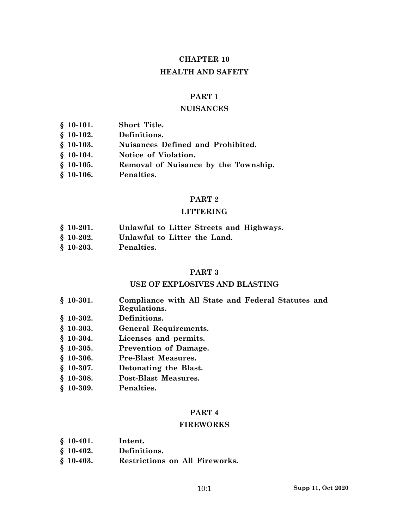# **CHAPTER 10**

# **HEALTH AND SAFETY**

### **PART 1**

### **NUISANCES**

| $$10-101.$ | Short Title.                         |
|------------|--------------------------------------|
| $$10-102.$ | Definitions.                         |
| $$10-103.$ | Nuisances Defined and Prohibited.    |
| $$10-104.$ | Notice of Violation.                 |
| $$10-105.$ | Removal of Nuisance by the Township. |
| $$10-106.$ | Penalties.                           |

### **PART 2**

# **LITTERING**

- **§ 10-201. Unlawful to Litter Streets and Highways.**
- **§ 10-202. Unlawful to Litter the Land.**
- **§ 10-203. Penalties.**

### **PART 3**

# **USE OF EXPLOSIVES AND BLASTING**

- **§ 10-301. Compliance with All State and Federal Statutes and Regulations.**
- **§ 10-302. Definitions.**
- **§ 10-303. General Requirements.**
- **§ 10-304. Licenses and permits.**
- **§ 10-305. Prevention of Damage.**
- **§ 10-306. Pre-Blast Measures.**
- **§ 10-307. Detonating the Blast.**
- **§ 10-308. Post-Blast Measures.**
- **§ 10-309. Penalties.**

### **PART 4**

#### **FIREWORKS**

- **§ 10-402. Definitions.**
- **§ 10-403. Restrictions on All Fireworks.**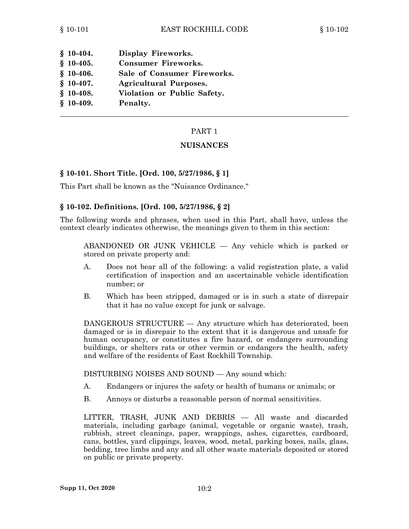| Display Fireworks.            |
|-------------------------------|
| <b>Consumer Fireworks.</b>    |
| Sale of Consumer Fireworks.   |
| <b>Agricultural Purposes.</b> |
| Violation or Public Safety.   |
| Penalty.                      |
|                               |

#### **NUISANCES**

#### **§ 10-101. Short Title. [Ord. 100, 5/27/1986, § 1]**

This Part shall be known as the "Nuisance Ordinance."

#### **§ 10-102. Definitions. [Ord. 100, 5/27/1986, § 2]**

The following words and phrases, when used in this Part, shall have, unless the context clearly indicates otherwise, the meanings given to them in this section:

ABANDONED OR JUNK VEHICLE — Any vehicle which is parked or stored on private property and:

- A. Does not bear all of the following: <sup>a</sup> valid registration plate, <sup>a</sup> valid certification of inspection and an ascertainable vehicle identification number; or
- B. Which has been stripped, damaged or is in such <sup>a</sup> state of disrepair that it has no value except for junk or salvage.

DANGEROUS STRUCTURE — Any structure which has deteriorated, been damaged or is in disrepair to the extent that it is dangerous and unsafe for human occupancy, or constitutes <sup>a</sup> fire hazard, or endangers surrounding buildings, or shelters rats or other vermin or endangers the health, safety and welfare of the residents of East Rockhill Township.

DISTURBING NOISES AND SOUND — Any sound which:

- A. Endangers or injures the safety or health of humans or animals; or
- B. Annoys or disturbs <sup>a</sup> reasonable person of normal sensitivities.

LITTER, TRASH, JUNK AND DEBRIS — All waste and discarded materials, including garbage (animal, vegetable or organic waste), trash, rubbish, street cleanings, paper, wrappings, ashes, cigarettes, cardboard, cans, bottles, yard clippings, leaves, wood, metal, parking boxes, nails, glass, bedding, tree limbs and any and all other waste materials deposited or stored on public or private property.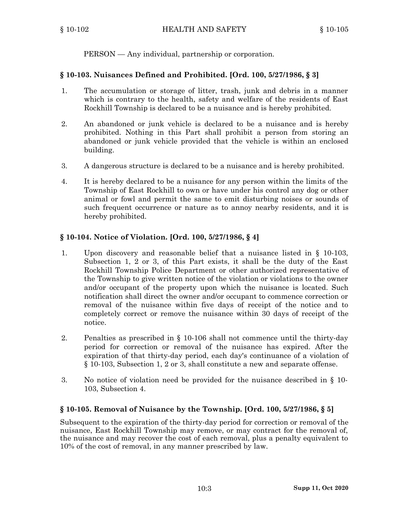PERSON — Any individual, partnership or corporation.

# **§ 10-103. Nuisances Defined and Prohibited. [Ord. 100, 5/27/1986, § 3]**

- 1. The accumulation or storage of litter, trash, junk and debris in <sup>a</sup> manner which is contrary to the health, safety and welfare of the residents of East Rockhill Township is declared to be <sup>a</sup> nuisance and is hereby prohibited.
- 2. An abandoned or junk vehicle is declared to be <sup>a</sup> nuisance and is hereby prohibited. Nothing in this Part shall prohibit <sup>a</sup> person from storing an abandoned or junk vehicle provided that the vehicle is within an enclosed building.
- 3. A dangerous structure is declared to be <sup>a</sup> nuisance and is hereby prohibited.
- 4. It is hereby declared to be <sup>a</sup> nuisance for any person within the limits of the Township of East Rockhill to own or have under his control any dog or other animal or fowl and permit the same to emit disturbing noises or sounds of such frequent occurrence or nature as to annoy nearby residents, and it is hereby prohibited.

# **§ 10-104. Notice of Violation. [Ord. 100, 5/27/1986, § 4]**

- 1. Upon discovery and reasonable belief that <sup>a</sup> nuisance listed in § 10-103, Subsection 1, 2 or 3, of this Part exists, it shall be the duty of the East Rockhill Township Police Department or other authorized representative of the Township to give written notice of the violation or violations to the owner and/or occupant of the property upon which the nuisance is located. Such notification shall direct the owner and/or occupant to commence correction or removal of the nuisance within five days of receipt of the notice and to completely correct or remove the nuisance within 30 days of receipt of the notice.
- 2. Penalties as prescribed in § 10-106 shall not commence until the thirty-day period for correction or removal of the nuisance has expired. After the expiration of that thirty-day period, each day's continuance of <sup>a</sup> violation of § 10-103, Subsection 1, 2 or 3, shall constitute <sup>a</sup> new and separate offense.
- 3. No notice of violation need be provided for the nuisance described in § 10- 103, Subsection 4.

# **§ 10-105. Removal of Nuisance by the Township. [Ord. 100, 5/27/1986, § 5]**

Subsequent to the expiration of the thirty-day period for correction or removal of the nuisance, East Rockhill Township may remove, or may contract for the removal of, the nuisance and may recover the cost of each removal, plus <sup>a</sup> penalty equivalent to 10% of the cost of removal, in any manner prescribed by law.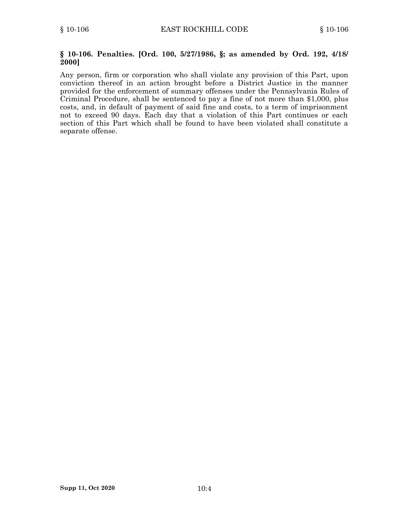#### **§ 10-106. Penalties. [Ord. 100, 5/27/1986, §; as amended by Ord. 192, 4/18/ 2000]**

Any person, firm or corporation who shall violate any provision of this Part, upon conviction thereof in an action brought before <sup>a</sup> District Justice in the manner provided for the enforcement of summary offenses under the Pennsylvania Rules of Criminal Procedure, shall be sentenced to pay <sup>a</sup> fine of not more than \$1,000, plus costs, and, in default of payment of said fine and costs, to <sup>a</sup> term of imprisonment not to exceed 90 days. Each day that <sup>a</sup> violation of this Part continues or each section of this Part which shall be found to have been violated shall constitute <sup>a</sup> separate offense.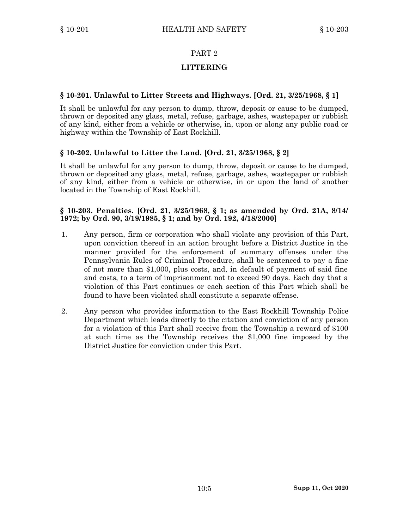# **LITTERING**

# **§ 10-201. Unlawful to Litter Streets and Highways. [Ord. 21, 3/25/1968, § 1]**

It shall be unlawful for any person to dump, throw, deposit or cause to be dumped, thrown or deposited any glass, metal, refuse, garbage, ashes, wastepaper or rubbish of any kind, either from <sup>a</sup> vehicle or otherwise, in, upon or along any public road or highway within the Township of East Rockhill.

# **§ 10-202. Unlawful to Litter the Land. [Ord. 21, 3/25/1968, § 2]**

It shall be unlawful for any person to dump, throw, deposit or cause to be dumped, thrown or deposited any glass, metal, refuse, garbage, ashes, wastepaper or rubbish of any kind, either from <sup>a</sup> vehicle or otherwise, in or upon the land of another located in the Township of East Rockhill.

### **§ 10-203. Penalties. [Ord. 21, 3/25/1968, § 1; as amended by Ord. 21A, 8/14/ 1972; by Ord. 90, 3/19/1985, § 1; and by Ord. 192, 4/18/2000]**

- 1. Any person, firm or corporation who shall violate any provision of this Part, upon conviction thereof in an action brought before <sup>a</sup> District Justice in the manner provided for the enforcement of summary offenses under the Pennsylvania Rules of Criminal Procedure, shall be sentenced to pay <sup>a</sup> fine of not more than \$1,000, plus costs, and, in default of payment of said fine and costs, to <sup>a</sup> term of imprisonment not to exceed 90 days. Each day that <sup>a</sup> violation of this Part continues or each section of this Part which shall be found to have been violated shall constitute <sup>a</sup> separate offense.
- 2. Any person who provides information to the East Rockhill Township Police Department which leads directly to the citation and conviction of any person for <sup>a</sup> violation of this Part shall receive from the Township <sup>a</sup> reward of \$100 at such time as the Township receives the \$1,000 fine imposed by the District Justice for conviction under this Part.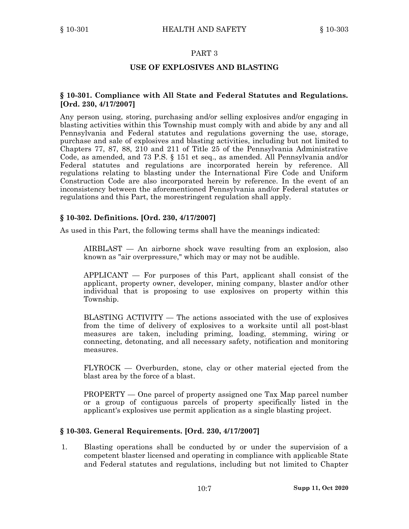### **USE OF EXPLOSIVES AND BLASTING**

### **§ 10-301. Compliance with All State and Federal Statutes and Regulations. [Ord. 230, 4/17/2007]**

Any person using, storing, purchasing and/or selling explosives and/or engaging in blasting activities within this Township must comply with and abide by any and all Pennsylvania and Federal statutes and regulations governing the use, storage, purchase and sale of explosives and blasting activities, including but not limited to Chapters 77, 87, 88, 210 and 211 of Title 25 of the Pennsylvania Administrative Code, as amended, and 73 P.S. § 151 et seq., as amended. All Pennsylvania and/or Federal statutes and regulations are incorporated herein by reference. All regulations relating to blasting under the International Fire Code and Uniform Construction Code are also incorporated herein by reference. In the event of an inconsistency between the aforementioned Pennsylvania and/or Federal statutes or regulations and this Part, the morestringent regulation shall apply.

#### **§ 10-302. Definitions. [Ord. 230, 4/17/2007]**

As used in this Part, the following terms shall have the meanings indicated:

AIRBLAST — An airborne shock wave resulting from an explosion, also known as "air overpressure," which may or may not be audible.

APPLICANT — For purposes of this Part, applicant shall consist of the applicant, property owner, developer, mining company, blaster and/or other individual that is proposing to use explosives on property within this Township.

BLASTING ACTIVITY — The actions associated with the use of explosives from the time of delivery of explosives to <sup>a</sup> worksite until all post-blast measures are taken, including priming, loading, stemming, wiring or connecting, detonating, and all necessary safety, notification and monitoring measures.

FLYROCK — Overburden, stone, clay or other material ejected from the blast area by the force of <sup>a</sup> blast.

PROPERTY — One parcel of property assigned one Tax Map parcel number or <sup>a</sup> group of contiguous parcels of property specifically listed in the applicant's explosives use permit application as <sup>a</sup> single blasting project.

#### **§ 10-303. General Requirements. [Ord. 230, 4/17/2007]**

1. Blasting operations shall be conducted by or under the supervision of <sup>a</sup> competent blaster licensed and operating in compliance with applicable State and Federal statutes and regulations, including but not limited to Chapter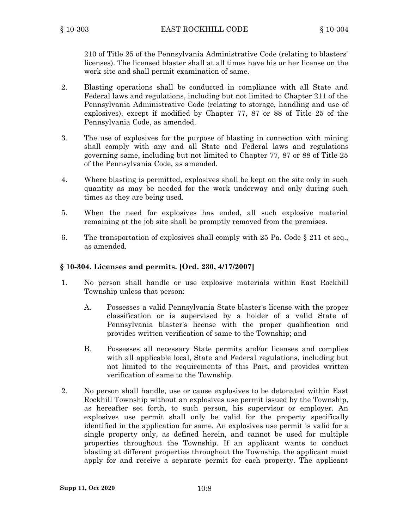210 of Title 25 of the Pennsylvania Administrative Code (relating to blasters' licenses). The licensed blaster shall at all times have his or her license on the work site and shall permit examination of same.

- 2. Blasting operations shall be conducted in compliance with all State and Federal laws and regulations, including but not limited to Chapter 211 of the Pennsylvania Administrative Code (relating to storage, handling and use of explosives), except if modified by Chapter 77, 87 or 88 of Title 25 of the Pennsylvania Code, as amended.
- 3. The use of explosives for the purpose of blasting in connection with mining shall comply with any and all State and Federal laws and regulations governing same, including but not limited to Chapter 77, 87 or 88 of Title 25 of the Pennsylvania Code, as amended.
- 4. Where blasting is permitted, explosives shall be kept on the site only in such quantity as may be needed for the work underway and only during such times as they are being used.
- 5. When the need for explosives has ended, all such explosive material remaining at the job site shall be promptly removed from the premises.
- 6. The transportation of explosives shall comply with 25 Pa. Code  $\S 211$  et seq., as amended.

### **§ 10-304. Licenses and permits. [Ord. 230, 4/17/2007]**

- 1. No person shall handle or use explosive materials within East Rockhill Township unless that person:
	- A. Possesses <sup>a</sup> valid Pennsylvania State blaster's license with the proper classification or is supervised by <sup>a</sup> holder of <sup>a</sup> valid State of Pennsylvania blaster's license with the proper qualification and provides written verification of same to the Township; and
	- B. Possesses all necessary State permits and/or licenses and complies with all applicable local, State and Federal regulations, including but not limited to the requirements of this Part, and provides written verification of same to the Township.
- 2. No person shall handle, use or cause explosives to be detonated within East Rockhill Township without an explosives use permit issued by the Township, as hereafter set forth, to such person, his supervisor or employer. An explosives use permit shall only be valid for the property specifically identified in the application for same. An explosives use permit is valid for <sup>a</sup> single property only, as defined herein, and cannot be used for multiple properties throughout the Township. If an applicant wants to conduct blasting at different properties throughout the Township, the applicant must apply for and receive <sup>a</sup> separate permit for each property. The applicant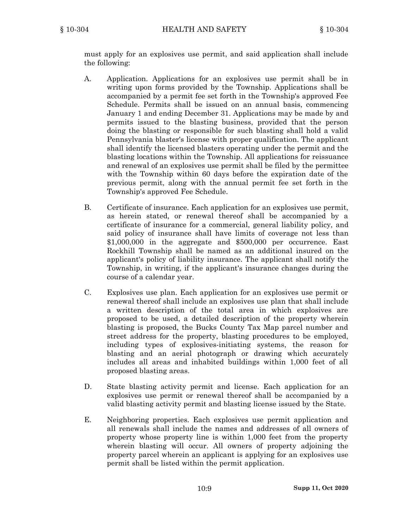must apply for an explosives use permit, and said application shall include the following:

- A. Application. Applications for an explosives use permit shall be in writing upon forms provided by the Township. Applications shall be accompanied by <sup>a</sup> permit fee set forth in the Township's approved Fee Schedule. Permits shall be issued on an annual basis, commencing January 1 and ending December 31. Applications may be made by and permits issued to the blasting business, provided that the person doing the blasting or responsible for such blasting shall hold <sup>a</sup> valid Pennsylvania blaster's license with proper qualification. The applicant shall identify the licensed blasters operating under the permit and the blasting locations within the Township. All applications for reissuance and renewal of an explosives use permit shall be filed by the permittee with the Township within 60 days before the expiration date of the previous permit, along with the annual permit fee set forth in the Township's approved Fee Schedule.
- B. Certificate of insurance. Each application for an explosives use permit, as herein stated, or renewal thereof shall be accompanied by <sup>a</sup> certificate of insurance for <sup>a</sup> commercial, general liability policy, and said policy of insurance shall have limits of coverage not less than \$1,000,000 in the aggregate and \$500,000 per occurrence. East Rockhill Township shall be named as an additional insured on the applicant's policy of liability insurance. The applicant shall notify the Township, in writing, if the applicant's insurance changes during the course of <sup>a</sup> calendar year.
- C. Explosives use plan. Each application for an explosives use permit or renewal thereof shall include an explosives use plan that shall include <sup>a</sup> written description of the total area in which explosives are proposed to be used, <sup>a</sup> detailed description of the property wherein blasting is proposed, the Bucks County Tax Map parcel number and street address for the property, blasting procedures to be employed, including types of explosives-initiating systems, the reason for blasting and an aerial photograph or drawing which accurately includes all areas and inhabited buildings within 1,000 feet of all proposed blasting areas.
- D. State blasting activity permit and license. Each application for an explosives use permit or renewal thereof shall be accompanied by <sup>a</sup> valid blasting activity permit and blasting license issued by the State.
- E. Neighboring properties. Each explosives use permit application and all renewals shall include the names and addresses of all owners of property whose property line is within 1,000 feet from the property wherein blasting will occur. All owners of property adjoining the property parcel wherein an applicant is applying for an explosives use permit shall be listed within the permit application.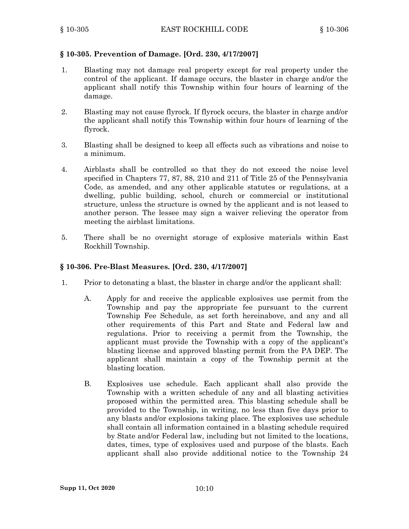# **§ 10-305. Prevention of Damage. [Ord. 230, 4/17/2007]**

- 1. Blasting may not damage real property except for real property under the control of the applicant. If damage occurs, the blaster in charge and/or the applicant shall notify this Township within four hours of learning of the damage.
- 2. Blasting may not cause flyrock. If flyrock occurs, the blaster in charge and/or the applicant shall notify this Township within four hours of learning of the flyrock.
- 3. Blasting shall be designed to keep all effects such as vibrations and noise to <sup>a</sup> minimum.
- 4. Airblasts shall be controlled so that they do not exceed the noise level specified in Chapters 77, 87, 88, 210 and 211 of Title 25 of the Pennsylvania Code, as amended, and any other applicable statutes or regulations, at <sup>a</sup> dwelling, public building, school, church or commercial or institutional structure, unless the structure is owned by the applicant and is not leased to another person. The lessee may sign <sup>a</sup> waiver relieving the operator from meeting the airblast limitations.
- 5. There shall be no overnight storage of explosive materials within East Rockhill Township.

# **§ 10-306. Pre-Blast Measures. [Ord. 230, 4/17/2007]**

- 1. Prior to detonating <sup>a</sup> blast, the blaster in charge and/or the applicant shall:
	- A. Apply for and receive the applicable explosives use permit from the Township and pay the appropriate fee pursuant to the current Township Fee Schedule, as set forth hereinabove, and any and all other requirements of this Part and State and Federal law and regulations. Prior to receiving <sup>a</sup> permit from the Township, the applicant must provide the Township with <sup>a</sup> copy of the applicant's blasting license and approved blasting permit from the PA DEP. The applicant shall maintain <sup>a</sup> copy of the Township permit at the blasting location.
	- B. Explosives use schedule. Each applicant shall also provide the Township with <sup>a</sup> written schedule of any and all blasting activities proposed within the permitted area. This blasting schedule shall be provided to the Township, in writing, no less than five days prior to any blasts and/or explosions taking place. The explosives use schedule shall contain all information contained in <sup>a</sup> blasting schedule required by State and/or Federal law, including but not limited to the locations, dates, times, type of explosives used and purpose of the blasts. Each applicant shall also provide additional notice to the Township 24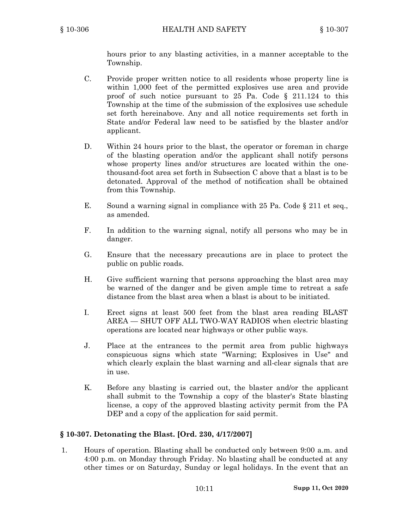hours prior to any blasting activities, in <sup>a</sup> manner acceptable to the Township.

- C. Provide proper written notice to all residents whose property line is within 1,000 feet of the permitted explosives use area and provide proof of such notice pursuant to 25 Pa. Code § 211.124 to this Township at the time of the submission of the explosives use schedule set forth hereinabove. Any and all notice requirements set forth in State and/or Federal law need to be satisfied by the blaster and/or applicant.
- D. Within 24 hours prior to the blast, the operator or foreman in charge of the blasting operation and/or the applicant shall notify persons whose property lines and/or structures are located within the onethousand-foot area set forth in Subsection C above that <sup>a</sup> blast is to be detonated. Approval of the method of notification shall be obtained from this Township.
- E. Sound <sup>a</sup> warning signal in compliance with 25 Pa. Code § 211 et seq., as amended.
- F. In addition to the warning signal, notify all persons who may be in danger.
- G. Ensure that the necessary precautions are in place to protect the public on public roads.
- H. Give sufficient warning that persons approaching the blast area may be warned of the danger and be given ample time to retreat <sup>a</sup> safe distance from the blast area when <sup>a</sup> blast is about to be initiated.
- I. Erect signs at least 500 feet from the blast area reading BLAST AREA — SHUT OFF ALL TWO-WAY RADIOS when electric blasting operations are located near highways or other public ways.
- J. Place at the entrances to the permit area from public highways conspicuous signs which state "Warning; Explosives in Use" and which clearly explain the blast warning and all-clear signals that are in use.
- K. Before any blasting is carried out, the blaster and/or the applicant shall submit to the Township a copy of the blaster's State blasting license, <sup>a</sup> copy of the approved blasting activity permit from the PA DEP and a copy of the application for said permit.

# **§ 10-307. Detonating the Blast. [Ord. 230, 4/17/2007]**

1. Hours of operation. Blasting shall be conducted only between 9:00 a.m. and 4:00 p.m. on Monday through Friday. No blasting shall be conducted at any other times or on Saturday, Sunday or legal holidays. In the event that an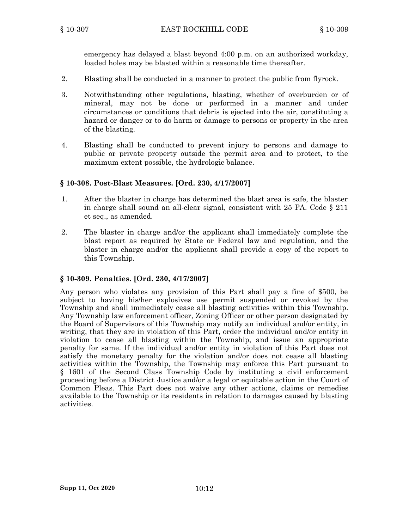emergency has delayed <sup>a</sup> blast beyond 4:00 p.m. on an authorized workday, loaded holes may be blasted within <sup>a</sup> reasonable time thereafter.

- 2. Blasting shall be conducted in <sup>a</sup> manner to protect the public from flyrock.
- 3. Notwithstanding other regulations, blasting, whether of overburden or of mineral, may not be done or performed in <sup>a</sup> manner and under circumstances or conditions that debris is ejected into the air, constituting <sup>a</sup> hazard or danger or to do harm or damage to persons or property in the area of the blasting.
- 4. Blasting shall be conducted to prevent injury to persons and damage to public or private property outside the permit area and to protect, to the maximum extent possible, the hydrologic balance.

# **§ 10-308. Post-Blast Measures. [Ord. 230, 4/17/2007]**

- 1. After the blaster in charge has determined the blast area is safe, the blaster in charge shall sound an all-clear signal, consistent with  $25$  PA. Code  $\S$  211 et seq., as amended.
- 2. The blaster in charge and/or the applicant shall immediately complete the blast report as required by State or Federal law and regulation, and the blaster in charge and/or the applicant shall provide <sup>a</sup> copy of the report to this Township.

# **§ 10-309. Penalties. [Ord. 230, 4/17/2007]**

Any person who violates any provision of this Part shall pay <sup>a</sup> fine of \$500, be subject to having his/her explosives use permit suspended or revoked by the Township and shall immediately cease all blasting activities within this Township. Any Township law enforcement officer, Zoning Officer or other person designated by the Board of Supervisors of this Township may notify an individual and/or entity, in writing, that they are in violation of this Part, order the individual and/or entity in violation to cease all blasting within the Township, and issue an appropriate penalty for same. If the individual and/or entity in violation of this Part does not satisfy the monetary penalty for the violation and/or does not cease all blasting activities within the Township, the Township may enforce this Part pursuant to § 1601 of the Second Class Township Code by instituting <sup>a</sup> civil enforcement proceeding before <sup>a</sup> District Justice and/or <sup>a</sup> legal or equitable action in the Court of Common Pleas. This Part does not waive any other actions, claims or remedies available to the Township or its residents in relation to damages caused by blasting activities.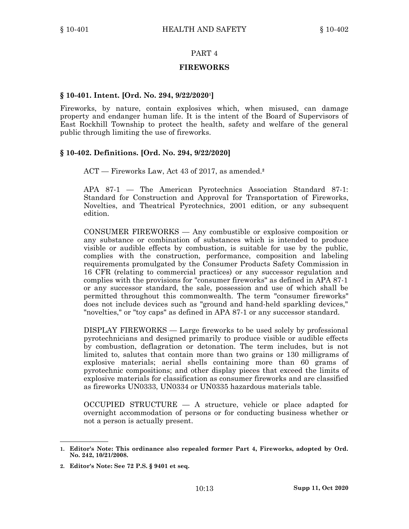#### **FIREWORKS**

### **§ 10-401. Intent. [Ord. No. 294, 9/22/2020<sup>1</sup> ]**

Fireworks, by nature, contain explosives which, when misused, can damage property and endanger human life. It is the intent of the Board of Supervisors of East Rockhill Township to protect the health, safety and welfare of the general public through limiting the use of fireworks.

### **§ 10-402. Definitions. [Ord. No. 294, 9/22/2020]**

ACT — Fireworks Law, Act 43 of 2017, as amended. **2**

APA 87-1 — The American Pyrotechnics Association Standard 87-1: Standard for Construction and Approval for Transportation of Fireworks, Novelties, and Theatrical Pyrotechnics, 2001 edition, or any subsequent edition.

CONSUMER FIREWORKS — Any combustible or explosive composition or any substance or combination of substances which is intended to produce visible or audible effects by combustion, is suitable for use by the public, complies with the construction, performance, composition and labeling requirements promulgated by the Consumer Products Safety Commission in 16 CFR (relating to commercial practices) or any successor regulation and complies with the provisions for "consumer fireworks" as defined in APA 87-1 or any successor standard, the sale, possession and use of which shall be permitted throughout this commonwealth. The term "consumer fireworks" does not include devices such as "ground and hand-held sparkling devices," "novelties," or "toy caps" as defined in APA 87-1 or any successor standard.

DISPLAY FIREWORKS — Large fireworks to be used solely by professional pyrotechnicians and designed primarily to produce visible or audible effects by combustion, deflagration or detonation. The term includes, but is not limited to, salutes that contain more than two grains or 130 milligrams of explosive materials; aerial shells containing more than 60 grams of pyrotechnic compositions; and other display pieces that exceed the limits of explosive materials for classification as consumer fireworks and are classified as fireworks UN0333, UN0334 or UN0335 hazardous materials table.

OCCUPIED STRUCTURE — A structure, vehicle or place adapted for overnight accommodation of persons or for conducting business whether or not <sup>a</sup> person is actually present.

**<sup>1.</sup> Editor's Note: This ordinance also repealed former Part 4, Fireworks, adopted by Ord. No. 242, 10/21/2008.**

**<sup>2.</sup> Editor's Note: See 72 P.S. § 9401 et seq.**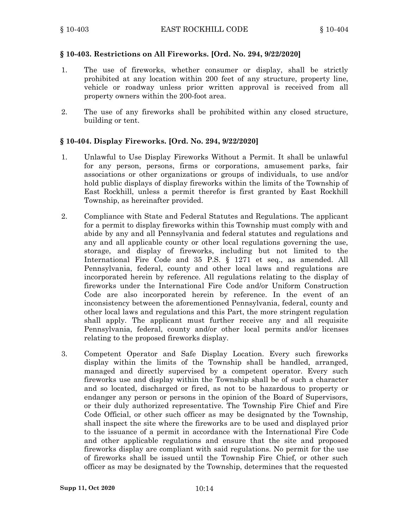### **§ 10-403. Restrictions on All Fireworks. [Ord. No. 294, 9/22/2020]**

- 1. The use of fireworks, whether consumer or display, shall be strictly prohibited at any location within 200 feet of any structure, property line, vehicle or roadway unless prior written approval is received from all property owners within the 200-foot area.
- 2. The use of any fireworks shall be prohibited within any closed structure, building or tent.

### **§ 10-404. Display Fireworks. [Ord. No. 294, 9/22/2020]**

- 1. Unlawful to Use Display Fireworks Without <sup>a</sup> Permit. It shall be unlawful for any person, persons, firms or corporations, amusement parks, fair associations or other organizations or groups of individuals, to use and/or hold public displays of display fireworks within the limits of the Township of East Rockhill, unless <sup>a</sup> permit therefor is first granted by East Rockhill Township, as hereinafter provided.
- 2. Compliance with State and Federal Statutes and Regulations. The applicant for <sup>a</sup> permit to display fireworks within this Township must comply with and abide by any and all Pennsylvania and federal statutes and regulations and any and all applicable county or other local regulations governing the use, storage, and display of fireworks, including but not limited to the International Fire Code and 35 P.S. § 1271 et seq., as amended. All Pennsylvania, federal, county and other local laws and regulations are incorporated herein by reference. All regulations relating to the display of fireworks under the International Fire Code and/or Uniform Construction Code are also incorporated herein by reference. In the event of an inconsistency between the aforementioned Pennsylvania, federal, county and other local laws and regulations and this Part, the more stringent regulation shall apply. The applicant must further receive any and all requisite Pennsylvania, federal, county and/or other local permits and/or licenses relating to the proposed fireworks display.
- 3. Competent Operator and Safe Display Location. Every such fireworks display within the limits of the Township shall be handled, arranged, managed and directly supervised by <sup>a</sup> competent operator. Every such fireworks use and display within the Township shall be of such <sup>a</sup> character and so located, discharged or fired, as not to be hazardous to property or endanger any person or persons in the opinion of the Board of Supervisors, or their duly authorized representative. The Township Fire Chief and Fire Code Official, or other such officer as may be designated by the Township, shall inspect the site where the fireworks are to be used and displayed prior to the issuance of <sup>a</sup> permit in accordance with the International Fire Code and other applicable regulations and ensure that the site and proposed fireworks display are compliant with said regulations. No permit for the use of fireworks shall be issued until the Township Fire Chief, or other such officer as may be designated by the Township, determines that the requested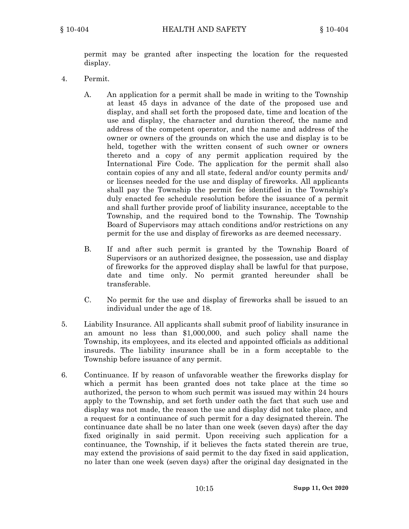permit may be granted after inspecting the location for the requested display.

- 4. Permit.
	- A. An application for <sup>a</sup> permit shall be made in writing to the Township at least 45 days in advance of the date of the proposed use and display, and shall set forth the proposed date, time and location of the use and display, the character and duration thereof, the name and address of the competent operator, and the name and address of the owner or owners of the grounds on which the use and display is to be held, together with the written consent of such owner or owners thereto and <sup>a</sup> copy of any permit application required by the International Fire Code. The application for the permit shall also contain copies of any and all state, federal and/or county permits and/ or licenses needed for the use and display of fireworks. All applicants shall pay the Township the permit fee identified in the Township's duly enacted fee schedule resolution before the issuance of <sup>a</sup> permit and shall further provide proof of liability insurance, acceptable to the Township, and the required bond to the Township. The Township Board of Supervisors may attach conditions and/or restrictions on any permit for the use and display of fireworks as are deemed necessary.
	- B. If and after such permit is granted by the Township Board of Supervisors or an authorized designee, the possession, use and display of fireworks for the approved display shall be lawful for that purpose, date and time only. No permit granted hereunder shall be transferable.
	- C. No permit for the use and display of fireworks shall be issued to an individual under the age of 18.
- 5. Liability Insurance. All applicants shall submit proof of liability insurance in an amount no less than \$1,000,000, and such policy shall name the Township, its employees, and its elected and appointed officials as additional insureds. The liability insurance shall be in <sup>a</sup> form acceptable to the Township before issuance of any permit.
- 6. Continuance. If by reason of unfavorable weather the fireworks display for which <sup>a</sup> permit has been granted does not take place at the time so authorized, the person to whom such permit was issued may within 24 hours apply to the Township, and set forth under oath the fact that such use and display was not made, the reason the use and display did not take place, and <sup>a</sup> request for <sup>a</sup> continuance of such permit for <sup>a</sup> day designated therein. The continuance date shall be no later than one week (seven days) after the day fixed originally in said permit. Upon receiving such application for <sup>a</sup> continuance, the Township, if it believes the facts stated therein are true, may extend the provisions of said permit to the day fixed in said application, no later than one week (seven days) after the original day designated in the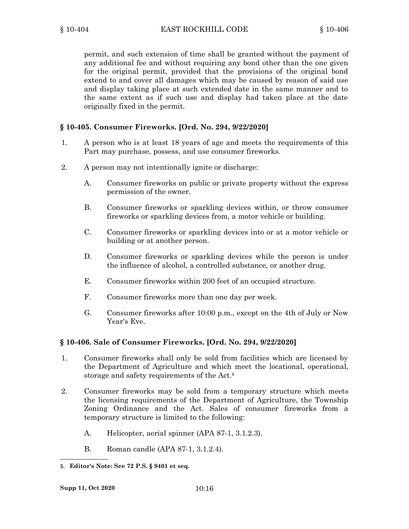permit, and such extension of time shall be granted without the payment of any additional fee and without requiring any bond other than the one given for the original permit, provided that the provisions of the original bond extend to and cover all damages which may be caused by reason of said use and display taking place at such extended date in the same manner and to the same extent as if such use and display had taken place at the date originally fixed in the permit.

### **§ 10-405. Consumer Fireworks. [Ord. No. 294, 9/22/2020]**

- 1. A person who is at least 18 years of age and meets the requirements of this Part may purchase, possess, and use consumer fireworks.
- 2. A person may not intentionally ignite or discharge:
	- A. Consumer fireworks on public or private property without the express permission of the owner.
	- B. Consumer fireworks or sparkling devices within, or throw consumer fireworks or sparkling devices from, <sup>a</sup> motor vehicle or building.
	- C. Consumer fireworks or sparkling devices into or at <sup>a</sup> motor vehicle or building or at another person.
	- D. Consumer fireworks or sparkling devices while the person is under the influence of alcohol, <sup>a</sup> controlled substance, or another drug.
	- E. Consumer fireworks within 200 feet of an occupied structure.
	- F. Consumer fireworks more than one day per week.
	- G. Consumer fireworks after 10:00 p.m., except on the 4th of July or New Year's Eve.

#### **§ 10-406. Sale of Consumer Fireworks. [Ord. No. 294, 9/22/2020]**

- 1. Consumer fireworks shall only be sold from facilities which are licensed by the Department of Agriculture and which meet the locational, operational, storage and safety requirements of the Act. **3**
- 2. Consumer fireworks may be sold from <sup>a</sup> temporary structure which meets the licensing requirements of the Department of Agriculture, the Township Zoning Ordinance and the Act. Sales of consumer fireworks from <sup>a</sup> temporary structure is limited to the following:
	- A. Helicopter, aerial spinner (APA 87-1, 3.1.2.3).
	- B. Roman candle (APA 87-1, 3.1.2.4).

**<sup>3.</sup> Editor's Note: See 72 P.S. § 9401 et seq.**